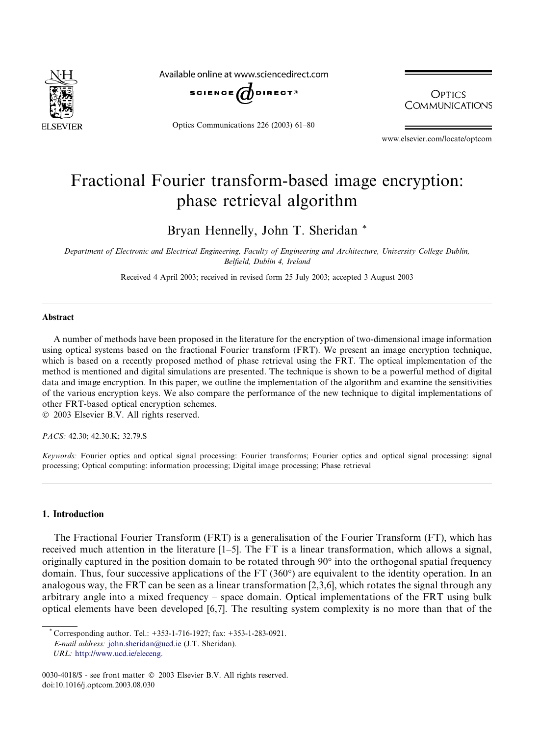

Available online at www.sciencedirect.com



Optics Communications 226 (2003) 61–80

**OPTICS COMMUNICATIONS** 

www.elsevier.com/locate/optcom

# Fractional Fourier transform-based image encryption: phase retrieval algorithm

Bryan Hennelly, John T. Sheridan \*

Department of Electronic and Electrical Engineering, Faculty of Engineering and Architecture, University College Dublin, Belfield, Dublin 4, Ireland

Received 4 April 2003; received in revised form 25 July 2003; accepted 3 August 2003

#### Abstract

A number of methods have been proposed in the literature for the encryption of two-dimensional image information using optical systems based on the fractional Fourier transform (FRT). We present an image encryption technique, which is based on a recently proposed method of phase retrieval using the FRT. The optical implementation of the method is mentioned and digital simulations are presented. The technique is shown to be a powerful method of digital data and image encryption. In this paper, we outline the implementation of the algorithm and examine the sensitivities of the various encryption keys. We also compare the performance of the new technique to digital implementations of other FRT-based optical encryption schemes.

2003 Elsevier B.V. All rights reserved.

PACS: 42.30; 42.30.K; 32.79.S

Keywords: Fourier optics and optical signal processing: Fourier transforms; Fourier optics and optical signal processing: signal processing; Optical computing: information processing; Digital image processing; Phase retrieval

#### 1. Introduction

The Fractional Fourier Transform (FRT) is a generalisation of the Fourier Transform (FT), which has received much attention in the literature [1–5]. The FT is a linear transformation, which allows a signal, originally captured in the position domain to be rotated through  $90^{\circ}$  into the orthogonal spatial frequency domain. Thus, four successive applications of the FT (360°) are equivalent to the identity operation. In an analogous way, the FRT can be seen as a linear transformation [2,3,6], which rotates the signal through any arbitrary angle into a mixed frequency – space domain. Optical implementations of the FRT using bulk optical elements have been developed [6,7]. The resulting system complexity is no more than that of the

<sup>\*</sup> Corresponding author. Tel.: +353-1-716-1927; fax: +353-1-283-0921.

E-mail address: [john.sheridan@ucd.ie](mail to: john.sheridan@ucd.ie) (J.T. Sheridan).

URL: [http://www.ucd.ie/eleceng.](http://www.ucd.ie/eleceng)

<sup>0030-4018/\$ -</sup> see front matter  $\degree$  2003 Elsevier B.V. All rights reserved. doi:10.1016/j.optcom.2003.08.030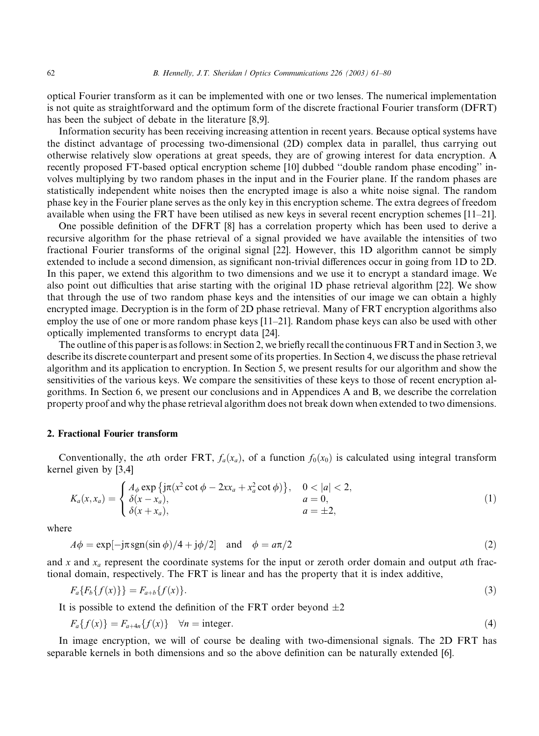optical Fourier transform as it can be implemented with one or two lenses. The numerical implementation is not quite as straightforward and the optimum form of the discrete fractional Fourier transform (DFRT) has been the subject of debate in the literature [8,9].

Information security has been receiving increasing attention in recent years. Because optical systems have the distinct advantage of processing two-dimensional (2D) complex data in parallel, thus carrying out otherwise relatively slow operations at great speeds, they are of growing interest for data encryption. A recently proposed FT-based optical encryption scheme [10] dubbed "double random phase encoding" involves multiplying by two random phases in the input and in the Fourier plane. If the random phases are statistically independent white noises then the encrypted image is also a white noise signal. The random phase key in the Fourier plane serves as the only key in this encryption scheme. The extra degrees of freedom available when using the FRT have been utilised as new keys in several recent encryption schemes [11–21].

One possible definition of the DFRT [8] has a correlation property which has been used to derive a recursive algorithm for the phase retrieval of a signal provided we have available the intensities of two fractional Fourier transforms of the original signal [22]. However, this 1D algorithm cannot be simply extended to include a second dimension, as significant non-trivial differences occur in going from 1D to 2D. In this paper, we extend this algorithm to two dimensions and we use it to encrypt a standard image. We also point out difficulties that arise starting with the original 1D phase retrieval algorithm [22]. We show that through the use of two random phase keys and the intensities of our image we can obtain a highly encrypted image. Decryption is in the form of 2D phase retrieval. Many of FRT encryption algorithms also employ the use of one or more random phase keys [11–21]. Random phase keys can also be used with other optically implemented transforms to encrypt data [24].

The outline of this paper is as follows: in Section 2, we briefly recall the continuous FRT and in Section 3, we describe its discrete counterpart and present some of its properties. In Section 4, we discuss the phase retrieval algorithm and its application to encryption. In Section 5, we present results for our algorithm and show the sensitivities of the various keys. We compare the sensitivities of these keys to those of recent encryption algorithms. In Section 6, we present our conclusions and in Appendices A and B, we describe the correlation property proof and why the phase retrieval algorithm does not break down when extended to two dimensions.

#### 2. Fractional Fourier transform

Conventionally, the ath order FRT,  $f_a(x_a)$ , of a function  $f_0(x_0)$  is calculated using integral transform kernel given by [3,4]

$$
K_a(x, x_a) = \begin{cases} A_{\phi} \exp \{j\pi(x^2 \cot \phi - 2xx_a + x_a^2 \cot \phi) \}, & 0 < |a| < 2, \\ \delta(x - x_a), & a = 0, \\ \delta(x + x_a), & a = \pm 2, \end{cases}
$$
(1)

where

$$
A\phi = \exp[-j\pi \operatorname{sgn}(\sin \phi)/4 + j\phi/2] \quad \text{and} \quad \phi = a\pi/2 \tag{2}
$$

and x and  $x_a$  represent the coordinate systems for the input or zeroth order domain and output ath fractional domain, respectively. The FRT is linear and has the property that it is index additive,

$$
F_a\{F_b\{f(x)\}\} = F_{a+b}\{f(x)\}.\tag{3}
$$

It is possible to extend the definition of the FRT order beyond  $\pm 2$ 

$$
F_a\{f(x)\} = F_{a+4n}\{f(x)\} \quad \forall n = \text{integer.} \tag{4}
$$

In image encryption, we will of course be dealing with two-dimensional signals. The 2D FRT has separable kernels in both dimensions and so the above definition can be naturally extended [6].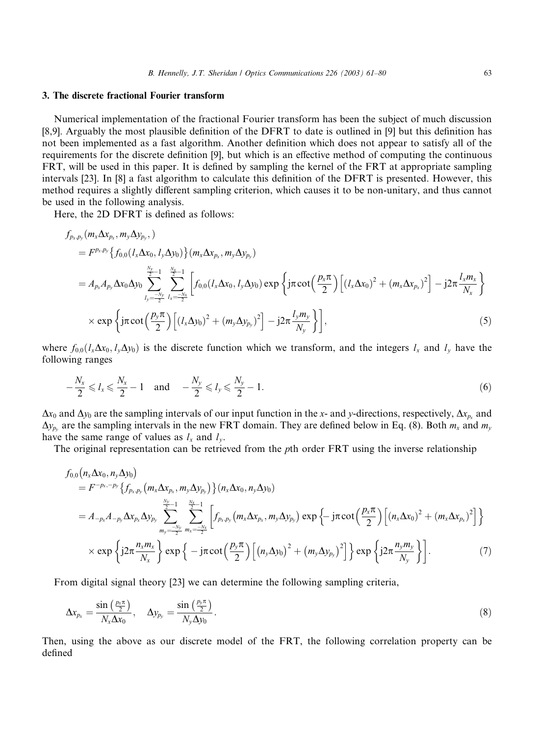#### 3. The discrete fractional Fourier transform

Numerical implementation of the fractional Fourier transform has been the subject of much discussion [8,9]. Arguably the most plausible definition of the DFRT to date is outlined in [9] but this definition has not been implemented as a fast algorithm. Another definition which does not appear to satisfy all of the requirements for the discrete definition [9], but which is an effective method of computing the continuous FRT, will be used in this paper. It is defined by sampling the kernel of the FRT at appropriate sampling intervals [23]. In [8] a fast algorithm to calculate this definition of the DFRT is presented. However, this method requires a slightly different sampling criterion, which causes it to be non-unitary, and thus cannot be used in the following analysis.

Here, the 2D DFRT is defined as follows:

$$
f_{p_x, p_y}(m_x \Delta x_{p_x}, m_y \Delta y_{p_y}, )
$$
  
\n
$$
= F^{p_x, p_y} \{ f_{0,0}(l_x \Delta x_0, l_y \Delta y_0) \} (m_x \Delta x_{p_x}, m_y \Delta y_{p_y})
$$
  
\n
$$
= A_{p_x} A_{p_y} \Delta x_0 \Delta y_0 \sum_{l_y = -\frac{N_y}{2}}^{\frac{N_y}{2}-1} \sum_{l_x = -\frac{N_x}{2}}^{\frac{N_x}{2}-1} \left[ f_{0,0}(l_x \Delta x_0, l_y \Delta y_0) \exp \left\{ j\pi \cot \left( \frac{p_x \pi}{2} \right) \left[ (l_x \Delta x_0)^2 + (m_x \Delta x_{p_x})^2 \right] - j2\pi \frac{l_x m_x}{N_x} \right\}
$$
  
\n
$$
\times \exp \left\{ j\pi \cot \left( \frac{p_y \pi}{2} \right) \left[ (l_x \Delta y_0)^2 + (m_y \Delta y_{p_y})^2 \right] - j2\pi \frac{l_y m_y}{N_y} \right\} \right],
$$
\n(5)

where  $f_{0,0}(l_x\Delta x_0, l_y\Delta y_0)$  is the discrete function which we transform, and the integers  $l_x$  and  $l_y$  have the following ranges

$$
-\frac{N_x}{2} \le l_x \le \frac{N_x}{2} - 1 \quad \text{and} \quad -\frac{N_y}{2} \le l_y \le \frac{N_y}{2} - 1. \tag{6}
$$

 $\Delta x_0$  and  $\Delta y_0$  are the sampling intervals of our input function in the x- and y-directions, respectively,  $\Delta x_{p_x}$  and  $\Delta y_{p_y}$  are the sampling intervals in the new FRT domain. They are defined below in Eq. (8). Both  $m_x$  and  $m_y$ have the same range of values as  $l_x$  and  $l_y$ .

The original representation can be retrieved from the pth order FRT using the inverse relationship

$$
f_{0,0}(n_x\Delta x_0, n_y\Delta y_0)
$$
  
=  $F^{-p_x,-p_y}\left\{f_{p_x,p_y}(m_x\Delta x_{p_x}, m_y\Delta y_{p_y})\right\}(n_x\Delta x_0, n_y\Delta y_0)$   
=  $A_{-p_x}A_{-p_y}\Delta x_{p_x}\Delta y_{p_y}\sum_{m_y=\frac{-N_y}{2}}^{\frac{N_y}{2}-1}\sum_{m_x=-\frac{N_y}{2}}^{\frac{N_x}{2}-1}\left[f_{p_x,p_y}(m_x\Delta x_{p_x}, m_y\Delta y_{p_y})\exp\left\{-j\pi \cot\left(\frac{p_x\pi}{2}\right)\left[(n_x\Delta x_0)^2+(m_x\Delta x_{p_x})^2\right]\right\}$   
 $\times \exp\left\{j2\pi \frac{n_xm_x}{N_x}\right\} \exp\left\{-j\pi \cot\left(\frac{p_y\pi}{2}\right)\left[(n_y\Delta y_0)^2+(m_y\Delta y_{p_y})^2\right]\right\} \exp\left\{j2\pi \frac{n_ym_y}{N_y}\right\}.$  (7)

From digital signal theory [23] we can determine the following sampling criteria,

$$
\Delta x_{p_x} = \frac{\sin\left(\frac{p_x \pi}{2}\right)}{N_x \Delta x_0}, \quad \Delta y_{p_y} = \frac{\sin\left(\frac{p_y \pi}{2}\right)}{N_y \Delta y_0}.
$$
\n(8)

Then, using the above as our discrete model of the FRT, the following correlation property can be defined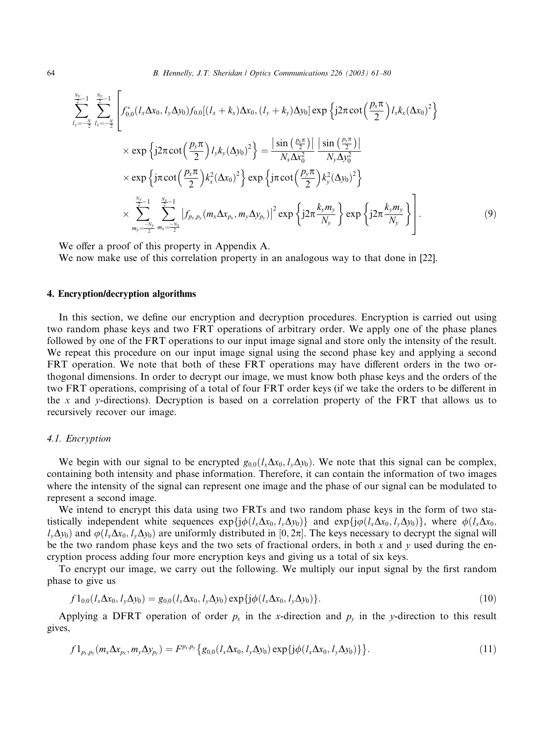64 B. Hennelly, J.T. Sheridan / Optics Communications 226 (2003) 61–80

$$
\sum_{l_{y}=-\frac{N}{2}}^{\frac{N_{y}}{2}-1} \sum_{l_{x}=-\frac{N}{2}}^{\frac{N_{y}}{2}-1} \left[ f_{0,0}^{*}(l_{x}\Delta x_{0}, l_{y}\Delta y_{0})f_{0,0}[(l_{x}+k_{x})\Delta x_{0}, (l_{y}+k_{y})\Delta y_{0}] \exp \left\{ j2\pi \cot \left(\frac{p_{x}\pi}{2}\right)l_{x}k_{x}(\Delta x_{0})^{2} \right\} \times \exp \left\{ j2\pi \cot \left(\frac{p_{y}\pi}{2}\right)l_{y}k_{y}(\Delta y_{0})^{2} \right\} = \frac{|\sin (\frac{p_{x}\pi}{2})|}{N_{x}\Delta x_{0}^{2}} \frac{|\sin (\frac{p_{y}\pi}{2})|}{N_{y}\Delta y_{0}^{2}} \times \exp \left\{ j\pi \cot (\frac{p_{x}\pi}{2})k_{x}^{2}(\Delta x_{0})^{2} \right\} \exp \left\{ j\pi \cot (\frac{p_{y}\pi}{2})k_{y}^{2}(\Delta y_{0})^{2} \right\} \times \sum_{m_{y}=-\frac{N_{y}}{2}}^{\frac{N_{y}}{2}-1} \sum_{m_{x}=-\frac{N_{x}}{2}}^{\frac{N_{x}}{2}-1} |f_{p_{x},p_{y}}(m_{x}\Delta x_{p_{x}}, m_{y}\Delta y_{p_{y}})|^{2} \exp \left\{ j2\pi \frac{k_{y}m_{y}}{N_{y}} \right\} \exp \left\{ j2\pi \frac{k_{y}m_{y}}{N_{y}} \right\}.
$$
\n(9)

We offer a proof of this property in Appendix A.

We now make use of this correlation property in an analogous way to that done in [22].

#### 4. Encryption/decryption algorithms

In this section, we define our encryption and decryption procedures. Encryption is carried out using two random phase keys and two FRT operations of arbitrary order. We apply one of the phase planes followed by one of the FRT operations to our input image signal and store only the intensity of the result. We repeat this procedure on our input image signal using the second phase key and applying a second FRT operation. We note that both of these FRT operations may have different orders in the two orthogonal dimensions. In order to decrypt our image, we must know both phase keys and the orders of the two FRT operations, comprising of a total of four FRT order keys (if we take the orders to be different in the x and y-directions). Decryption is based on a correlation property of the FRT that allows us to recursively recover our image.

### 4.1. Encryption

We begin with our signal to be encrypted  $g_{0,0}(l_x\Delta x_0, l_y\Delta y_0)$ . We note that this signal can be complex, containing both intensity and phase information. Therefore, it can contain the information of two images where the intensity of the signal can represent one image and the phase of our signal can be modulated to represent a second image.

We intend to encrypt this data using two FRTs and two random phase keys in the form of two statistically independent white sequences  $\exp\{j\phi(l_x\Delta x_0, l_y\Delta y_0)\}\$  and  $\exp\{j\phi(l_x\Delta x_0, l_y\Delta y_0)\}\$ , where  $\phi(l_x\Delta x_0, l_y\Delta y_0)\}$  $l_v\Delta y_0$ ) and  $\varphi(l_x\Delta x_0, l_v\Delta y_0)$  are uniformly distributed in [0, 2 $\pi$ ]. The keys necessary to decrypt the signal will be the two random phase keys and the two sets of fractional orders, in both x and y used during the encryption process adding four more encryption keys and giving us a total of six keys.

To encrypt our image, we carry out the following. We multiply our input signal by the first random phase to give us

$$
f1_{0,0}(l_x\Delta x_0, l_y\Delta y_0) = g_{0,0}(l_x\Delta x_0, l_y\Delta y_0) \exp\{j\phi(l_x\Delta x_0, l_y\Delta y_0)\}.
$$
 (10)

Applying a DFRT operation of order  $p_x$  in the x-direction and  $p_y$  in the y-direction to this result gives,

$$
f1_{p_{x},p_{y}}(m_{x}\Delta x_{p_{x}},m_{y}\Delta y_{p_{y}}) = F^{p_{x},p_{y}}\{g_{0,0}(l_{x}\Delta x_{0},l_{y}\Delta y_{0})\exp\{j\phi(l_{x}\Delta x_{0},l_{y}\Delta y_{0})\}\}.
$$
\n(11)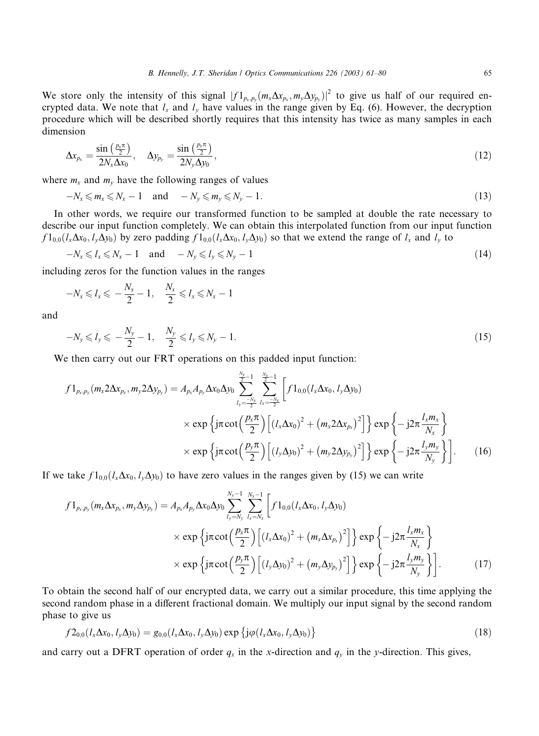We store only the intensity of this signal  $|f_1|_{p_x,p_y}(m_x\Delta x_{p_x},m_y\Delta y_{p_y})|^2$  to give us half of our required encrypted data. We note that  $l_x$  and  $l_y$  have values in the range given by Eq. (6). However, the decryption procedure which will be described shortly requires that this intensity has twice as many samples in each dimension

$$
\Delta x_{p_x} = \frac{\sin\left(\frac{p_x \pi}{2}\right)}{2N_x \Delta x_0}, \quad \Delta y_{p_y} = \frac{\sin\left(\frac{p_y \pi}{2}\right)}{2N_y \Delta y_0}, \tag{12}
$$

where  $m_x$  and  $m_y$  have the following ranges of values

$$
-N_x \leqslant m_x \leqslant N_x - 1 \quad \text{and} \quad -N_y \leqslant m_y \leqslant N_y - 1. \tag{13}
$$

In other words, we require our transformed function to be sampled at double the rate necessary to describe our input function completely. We can obtain this interpolated function from our input function  $f1_{0,0}(l_x\Delta x_0, l_y\Delta y_0)$  by zero padding  $f1_{0,0}(l_x\Delta x_0, l_y\Delta y_0)$  so that we extend the range of  $l_x$  and  $l_y$  to

$$
-N_x \leq l_x \leq N_x - 1 \quad \text{and} \quad -N_y \leq l_y \leq N_y - 1 \tag{14}
$$

including zeros for the function values in the ranges

$$
-N_x \leqslant l_x \leqslant -\frac{N_x}{2}-1, \quad \frac{N_x}{2} \leqslant l_x \leqslant N_x-1
$$

and

$$
-N_{y} \leq l_{y} \leq -\frac{N_{y}}{2} - 1, \quad \frac{N_{y}}{2} \leq l_{y} \leq N_{y} - 1.
$$
\n(15)

We then carry out our FRT operations on this padded input function:

$$
f1_{p_x, p_y}(m_x 2\Delta x_{p_x}, m_y 2\Delta y_{p_y}) = A_{p_x} A_{p_y} \Delta x_0 \Delta y_0 \sum_{l_y = -\frac{N_y}{2}}^{\frac{N_y}{2}-1} \sum_{l_x = -\frac{N_x}{2}}^{\frac{N_x}{2}-1} \left[ f1_{0,0}(l_x \Delta x_0, l_y \Delta y_0) \times \exp\left\{j\pi \cot\left(\frac{p_x \pi}{2}\right) \left[(l_x \Delta x_0)^2 + (m_x 2\Delta x_{p_x})^2\right] \right\} \exp\left\{-j2\pi \frac{l_x m_x}{N_x}\right\} \times \exp\left\{j\pi \cot\left(\frac{p_y \pi}{2}\right) \left[(l_y \Delta y_0)^2 + (m_y 2\Delta y_{p_y})^2\right] \right\} \exp\left\{-j2\pi \frac{l_y m_y}{N_y}\right\} \right].
$$
 (16)

If we take  $f_{10,0}(l_x\Delta x_0,l_y\Delta y_0)$  to have zero values in the ranges given by (15) we can write

$$
f1_{p_x, p_y}(m_x \Delta x_{p_x}, m_y \Delta y_{p_y}) = A_{p_x} A_{p_y} \Delta x_0 \Delta y_0 \sum_{l_y = N_y}^{N_y - 1} \sum_{l_x = N_x}^{N_x - 1} \left[ f1_{0,0}(l_x \Delta x_0, l_y \Delta y_0) \times \exp\left\{j\pi \cot\left(\frac{p_x \pi}{2}\right) \left[ (l_x \Delta x_0)^2 + (m_x \Delta x_{p_x})^2 \right] \right\} \exp\left\{-j2\pi \frac{l_x m_x}{N_x}\right\} \times \exp\left\{j\pi \cot\left(\frac{p_y \pi}{2}\right) \left[ (l_y \Delta y_0)^2 + (m_y \Delta y_{p_y})^2 \right] \right\} \exp\left\{-j2\pi \frac{l_y m_y}{N_y}\right\} \right].
$$
 (17)

To obtain the second half of our encrypted data, we carry out a similar procedure, this time applying the second random phase in a different fractional domain. We multiply our input signal by the second random phase to give us

$$
f2_{0,0}(l_x\Delta x_0, l_y\Delta y_0) = g_{0,0}(l_x\Delta x_0, l_y\Delta y_0) \exp\left\{j\varphi(l_x\Delta x_0, l_y\Delta y_0)\right\}
$$
\n(18)

and carry out a DFRT operation of order  $q_x$  in the x-direction and  $q_y$  in the y-direction. This gives,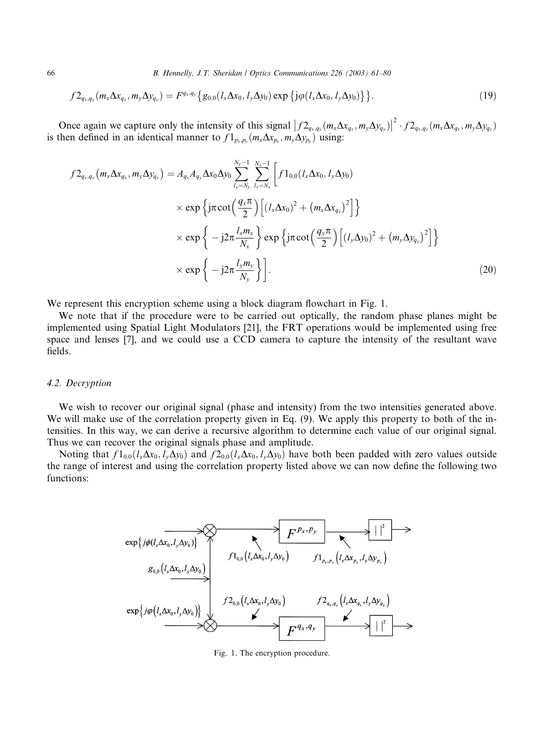66 B. Hennelly, J.T. Sheridan / Optics Communications 226 (2003) 61–80

$$
f2_{q_x,q_y}(m_x\Delta x_{q_x},m_y\Delta y_{q_y})=F^{q_x,q_y}\{g_{0,0}(l_x\Delta x_0,l_y\Delta y_0)\exp\{j\varphi(l_x\Delta x_0,l_y\Delta y_0)\}\}.
$$
 (19)

Once again we capture only the intensity of this signal  $\left|f_{q_x,q_y}(m_x\Delta x_{q_x},m_y\Delta y_{q_y})\right|^2 \cdot f_{q_x,q_y}(m_x\Delta x_{q_x},m_y\Delta y_{q_y})$ is then defined in an identical manner to  $f1_{p_x,p_y}(m_x\Delta x_{p_x}, m_y\Delta y_{p_y})$  using:

$$
f2_{q_x,q_y}(m_x\Delta x_{q_x},m_y\Delta y_{q_y}) = A_{q_x}A_{q_y}\Delta x_0\Delta y_0 \sum_{l_y=N_y}^{N_y-1} \sum_{l_x=N_x}^{N_x-1} \left[ f1_{0,0}(l_x\Delta x_0, l_y\Delta y_0) \times \exp\left\{j\pi \cot\left(\frac{q_x\pi}{2}\right) \left[(l_x\Delta x_0)^2 + (m_x\Delta x_{q_x})^2\right] \right\} \times \exp\left\{-j2\pi \frac{l_xm_x}{N_x}\right\} \exp\left\{j\pi \cot\left(\frac{q_y\pi}{2}\right) \left[(l_y\Delta y_0)^2 + (m_y\Delta y_{q_y})^2\right] \right\} \times \exp\left\{-j2\pi \frac{l_ym_y}{N_y}\right\} \right].
$$
\n(20)

We represent this encryption scheme using a block diagram flowchart in Fig. 1.

We note that if the procedure were to be carried out optically, the random phase planes might be implemented using Spatial Light Modulators [21], the FRT operations would be implemented using free space and lenses [7], and we could use a CCD camera to capture the intensity of the resultant wave fields.

#### 4.2. Decryption

We wish to recover our original signal (phase and intensity) from the two intensities generated above. We will make use of the correlation property given in Eq. (9). We apply this property to both of the intensities. In this way, we can derive a recursive algorithm to determine each value of our original signal. Thus we can recover the original signals phase and amplitude.

Noting that  $f_{0,0}(l_x\Delta x_0, l_y\Delta y_0)$  and  $f_{0,0}(l_x\Delta x_0, l_y\Delta y_0)$  have both been padded with zero values outside the range of interest and using the correlation property listed above we can now define the following two functions:

$$
\begin{array}{c}\n\exp\{j\phi(l_{x}\Delta x_{0},l_{y}\Delta y_{0})\} \\
\hline\ng_{0,0}(l_{x}\Delta x_{0},l_{y}\Delta y_{0})\n\end{array}\n\longrightarrow\n\begin{array}{c}\nF^{P_{x},P_{y}} \\
\hline\nf1_{0,0}(l_{x}\Delta x_{0},l_{y}\Delta y_{0})\n\end{array}\n\longrightarrow\n\begin{array}{c}\nF^{P_{x},P_{y}} \\
\hline\nf1_{p_{x},p_{y}}(l_{x}\Delta x_{p_{x}},l_{y}\Delta y_{p_{y}})\n\end{array}
$$
\n
$$
\exp\{j\phi(l_{x}\Delta x_{0},l_{y}\Delta y_{0})\}\n\longrightarrow\n\begin{array}{c}\n\mathcal{L}_{0,0}(l_{x}\Delta x_{0},l_{y}\Delta y_{0})\n\end{array}\n\longrightarrow\n\begin{array}{c}\n\mathcal{L}_{q_{x},q_{y}}(l_{x}\Delta x_{q_{x}},l_{y}\Delta y_{q_{y}})\n\end{array}\n\longrightarrow\n\begin{array}{c}\n\mathcal{L}_{q_{x},q_{y}}\n\end{array}
$$

Fig. 1. The encryption procedure.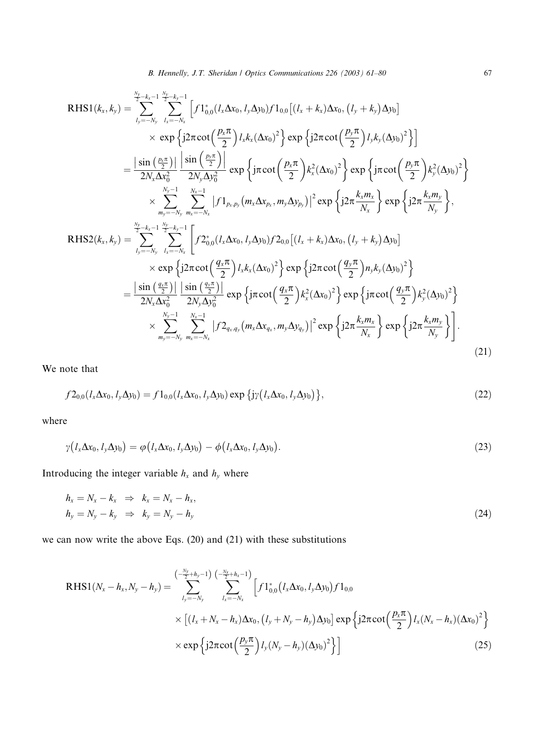RHS1(k<sub>x</sub>, k<sub>y</sub>) = 
$$
\sum_{l_y=-N_y}^{N_y-k_x-1} \sum_{l_x=-N_x}^{N_y-k_y-1} \left[ f1_{0,0}^*(l_x\Delta x_0, l_y\Delta y_0) f1_{0,0}[(l_x+k_x)\Delta x_0, (l_y+k_y)\Delta y_0] \right]
$$
  
\n
$$
\times \exp \left\{ j2\pi \cot \left( \frac{p_x\pi}{2} \right) l_x k_x (\Delta x_0)^2 \right\} \exp \left\{ j2\pi \cot \left( \frac{p_y\pi}{2} \right) l_y k_y (\Delta y_0)^2 \right\}
$$
  
\n
$$
= \frac{|\sin \left( \frac{p_x\pi}{2} \right)|}{2N_x \Delta x_0^2} \left[ \frac{\sin \left( \frac{p_y\pi}{2} \right)}{2N_y \Delta y_0^2} \right] \exp \left\{ j\pi \cot \left( \frac{p_x\pi}{2} \right) k_x^2 (\Delta x_0)^2 \right\} \exp \left\{ j\pi \cot \left( \frac{p_y\pi}{2} \right) k_y^2 (\Delta y_0)^2 \right\}
$$
  
\n
$$
\times \sum_{m_y=-N_y}^{N_y-1} \sum_{m_x=-N_x}^{N_x-1} |f1_{p_x,p_y}(m_x\Delta x_{p_x}, m_y\Delta y_{p_y})|^2 \exp \left\{ j2\pi \frac{k_x m_x}{N_x} \right\} \exp \left\{ j2\pi \frac{k_x m_y}{N_y} \right\},
$$
  
\nRHS2(k<sub>x</sub>, k<sub>y</sub>) = 
$$
\sum_{l_y=-N_y}^{N_y-k_x-1} \sum_{l_x=-N_x}^{N_y-k_y-1} \left[ f2_{0,0}^*(l_x\Delta x_0, l_y\Delta y_0) f2_{0,0}[(l_x+k_x)\Delta x_0, (l_y+k_y)\Delta y_0] \right.\newline \times \exp \left\{ j2\pi \cot \left( \frac{q_x\pi}{2} \right) l_x k_x (\Delta x_0)^2 \right\} \exp \left\{ j2\pi \cot \left( \frac{q_y\pi}{2} \right) n_y k_y (\Delta y_0)^2 \right\}
$$
  
\n
$$
= \frac{|\sin \left( \frac{q_x\pi}{2} \right)|}{2N_x \Delta x_0^2} \left[ \frac{\sin
$$

We note that

$$
f2_{0,0}(l_x\Delta x_0, l_y\Delta y_0) = f1_{0,0}(l_x\Delta x_0, l_y\Delta y_0) \exp\{j\gamma(l_x\Delta x_0, l_y\Delta y_0)\},\tag{22}
$$

where

$$
\gamma\big(l_x\Delta x_0, l_y\Delta y_0\big) = \varphi\big(l_x\Delta x_0, l_y\Delta y_0\big) - \varphi\big(l_x\Delta x_0, l_y\Delta y_0\big). \tag{23}
$$

Introducing the integer variable  $h_x$  and  $h_y$  where

$$
h_x = N_x - k_x \Rightarrow k_x = N_x - h_x,
$$
  
\n
$$
h_y = N_y - k_y \Rightarrow k_y = N_y - h_y
$$
\n(24)

we can now write the above Eqs. (20) and (21) with these substitutions

$$
\begin{split} \text{RHS1}(N_{x}-h_{x},N_{y}-h_{y}) &= \sum_{l_{y}=-N_{y}}^{\left(-\frac{N_{y}}{2}+h_{y}-1\right)} \sum_{l_{x}=-N_{x}}^{\left(-\frac{N_{y}}{2}+h_{x}-1\right)} \left[ f1_{0,0}^{*}\left(l_{x}\Delta x_{0},l_{y}\Delta y_{0}\right) f1_{0,0} \right. \\ &\times \left[ (l_{x}+N_{x}-h_{x})\Delta x_{0},\left(l_{y}+N_{y}-h_{y}\right)\Delta y_{0} \right] \exp\left\{ j2\pi \cot\left(\frac{p_{x}\pi}{2}\right)l_{x}\left(N_{x}-h_{x}\right)\left(\Delta x_{0}\right)^{2} \right\} \right. \\ &\times \exp\left\{ j2\pi \cot\left(\frac{p_{y}\pi}{2}\right)l_{y}\left(N_{y}-h_{y}\right)\left(\Delta y_{0}\right)^{2} \right\} \right] \end{split} \tag{25}
$$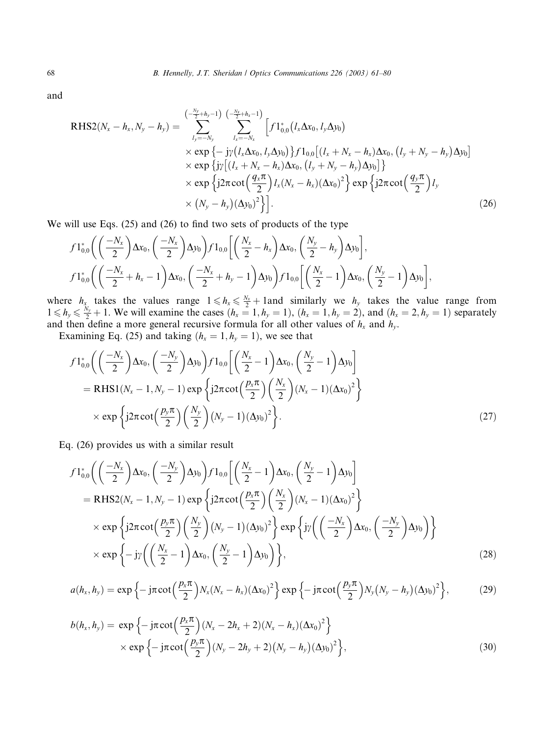and

RHS2(
$$
N_x - h_x, N_y - h_y
$$
) = 
$$
\sum_{l_y = -N_y}^{(-\frac{N_y}{2} + h_y - 1)} \sum_{l_x = -N_x}^{(-\frac{N_y}{2} + h_x - 1)} \left[ f1_{0,0}^*(l_x \Delta x_0, l_y \Delta y_0) \times \exp \{-jy(l_x \Delta x_0, l_y \Delta y_0)\} f1_{0,0}[(l_x + N_x - h_x) \Delta x_0, (l_y + N_y - h_y) \Delta y_0] \times \exp \{jy[(l_x + N_x - h_x) \Delta x_0, (l_y + N_y - h_y) \Delta y_0]\} \times \exp \{j2\pi \cot \left(\frac{q_x \pi}{2}\right)l_x(N_x - h_x) (\Delta x_0)^2\} \exp \{j2\pi \cot \left(\frac{q_y \pi}{2}\right)l_y \times (N_y - h_y) (\Delta y_0)^2\}].
$$
\n(26)

We will use Eqs. (25) and (26) to find two sets of products of the type

$$
f1_{0,0}^{*}\left(\left(\frac{-N_{x}}{2}\right)\Delta x_{0},\left(\frac{-N_{x}}{2}\right)\Delta y_{0}\right)f1_{0,0}\left[\left(\frac{N_{x}}{2}-h_{x}\right)\Delta x_{0},\left(\frac{N_{y}}{2}-h_{y}\right)\Delta y_{0}\right],
$$
  

$$
f1_{0,0}^{*}\left(\left(\frac{-N_{x}}{2}+h_{x}-1\right)\Delta x_{0},\left(\frac{-N_{x}}{2}+h_{y}-1\right)\Delta y_{0}\right)f1_{0,0}\left[\left(\frac{N_{x}}{2}-1\right)\Delta x_{0},\left(\frac{N_{y}}{2}-1\right)\Delta y_{0}\right],
$$

where  $h_x$  takes the values range  $1 \leq h_x \leq \frac{N_x}{2} + 1$  and similarly we  $h_y$  takes the value range from  $1 \le h_y \le \frac{N_y}{2} + 1$ . We will examine the cases  $(h_x = 1, h_y = 1)$ ,  $(h_x = 1, h_y = 2)$ , and  $(h_x = 2, h_y = 1)$  separately and then define a more general recursive formula for all other values of  $h_x$  and  $h_y$ .

Examining Eq. (25) and taking  $(h_x = 1, h_y = 1)$ , we see that

$$
f1_{0,0}^{*}\left(\left(\frac{-N_{x}}{2}\right)\Delta x_{0},\left(\frac{-N_{y}}{2}\right)\Delta y_{0}\right)f1_{0,0}\left[\left(\frac{N_{x}}{2}-1\right)\Delta x_{0},\left(\frac{N_{y}}{2}-1\right)\Delta y_{0}\right]
$$
  
= RHS1(N\_{x}-1,N\_{y}-1)exp\{j2\pi cot\left(\frac{p\_{x}\pi}{2}\right)\left(\frac{N\_{x}}{2}\right)(N\_{x}-1)(\Delta x\_{0})^{2}\}  
\times exp\{j2\pi cot\left(\frac{p\_{y}\pi}{2}\right)\left(\frac{N\_{y}}{2}\right)(N\_{y}-1)(\Delta y\_{0})^{2}\}. (27)

Eq. (26) provides us with a similar result

$$
f1_{0,0}^{*}\left(\left(\frac{-N_{x}}{2}\right)\Delta x_{0},\left(\frac{-N_{y}}{2}\right)\Delta y_{0}\right)f1_{0,0}\left[\left(\frac{N_{x}}{2}-1\right)\Delta x_{0},\left(\frac{N_{y}}{2}-1\right)\Delta y_{0}\right]
$$
  
\n= RHS2(N\_{x}-1,N\_{y}-1)exp\left\{j2\pi cot\left(\frac{p\_{x}\pi}{2}\right)\left(\frac{N\_{x}}{2}\right)(N\_{x}-1)(\Delta x\_{0})^{2}\right\}  
\n\times exp\left\{j2\pi cot\left(\frac{p\_{y}\pi}{2}\right)\left(\frac{N\_{y}}{2}\right)(N\_{y}-1)(\Delta y\_{0})^{2}\right\}exp\left\{j\gamma\left(\left(\frac{-N\_{x}}{2}\right)\Delta x\_{0},\left(\frac{-N\_{y}}{2}\right)\Delta y\_{0}\right)\right\}  
\n\times exp\left\{-j\gamma\left(\left(\frac{N\_{x}}{2}-1\right)\Delta x\_{0},\left(\frac{N\_{y}}{2}-1\right)\Delta y\_{0}\right)\right\},\n(28)

$$
a(h_x, h_y) = \exp\left\{-j\pi \cot\left(\frac{p_x \pi}{2}\right) N_x (N_x - h_x) (\Delta x_0)^2\right\} \exp\left\{-j\pi \cot\left(\frac{p_y \pi}{2}\right) N_y (N_y - h_y) (\Delta y_0)^2\right\},\tag{29}
$$

$$
b(h_x, h_y) = \exp \left\{-j\pi \cot \left(\frac{p_x \pi}{2}\right) (N_x - 2h_x + 2) (N_x - h_x) (\Delta x_0)^2\right\} \times \exp \left\{-j\pi \cot \left(\frac{p_y \pi}{2}\right) (N_y - 2h_y + 2) (N_y - h_y) (\Delta y_0)^2\right\},
$$
\n(30)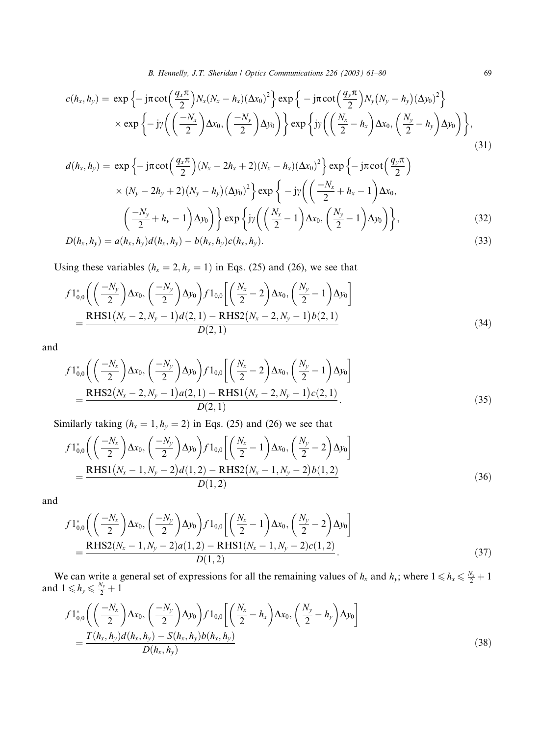B. Hennelly, J.T. Sheridan / Optics Communications 226 (2003) 61-80 69

$$
c(h_x, h_y) = \exp\left\{-j\pi \cot\left(\frac{q_x \pi}{2}\right) N_x (N_x - h_x) (\Delta x_0)^2\right\} \exp\left\{-j\pi \cot\left(\frac{q_y \pi}{2}\right) N_y (N_y - h_y) (\Delta y_0)^2\right\} \times \exp\left\{-j\gamma \left(\left(\frac{-N_x}{2}\right) \Delta x_0, \left(\frac{-N_y}{2}\right) \Delta y_0\right)\right\} \exp\left\{j\gamma \left(\left(\frac{N_x}{2} - h_x\right) \Delta x_0, \left(\frac{N_y}{2} - h_y\right) \Delta y_0\right)\right\},\tag{31}
$$

$$
d(h_x, h_y) = \exp\left\{-j\pi \cot\left(\frac{q_x \pi}{2}\right)(N_x - 2h_x + 2)(N_x - h_x)(\Delta x_0)^2\right\} \exp\left\{-j\pi \cot\left(\frac{q_y \pi}{2}\right) \times (N_y - 2h_y + 2)(N_y - h_y)(\Delta y_0)^2\right\} \exp\left\{-j\left(\frac{-N_x}{2} + h_x - 1\right)\Delta x_0, \left(\frac{-N_y}{2} + h_y - 1\right)\Delta y_0\right\} \exp\left\{j\left(\frac{N_x}{2} - 1\right)\Delta x_0, \left(\frac{N_y}{2} - 1\right)\Delta y_0\right\},
$$
\n(32)  
\n
$$
D(h_x, h_y) = a(h_x, h_y) d(h_x, h_y) - b(h_x, h_y) c(h_x, h_y).
$$

 $D(h_x, h_y) = a(h_x, h_y) d(h_x, h_y) - b(h_x, h_y) c(h_x, h_y).$ (33)

Using these variables  $(h_x = 2, h_y = 1)$  in Eqs. (25) and (26), we see that

$$
f1_{0,0}^{*}\left(\left(\frac{-N_{y}}{2}\right)\Delta x_{0},\left(\frac{-N_{y}}{2}\right)\Delta y_{0}\right)f1_{0,0}\left[\left(\frac{N_{x}}{2}-2\right)\Delta x_{0},\left(\frac{N_{y}}{2}-1\right)\Delta y_{0}\right]
$$

$$
=\frac{\text{RHS}1(N_{x}-2,N_{y}-1)d(2,1)-\text{RHS}2(N_{x}-2,N_{y}-1)b(2,1)}{D(2,1)}\tag{34}
$$

and

$$
f1_{0,0}^{*}\left(\left(\frac{-N_{x}}{2}\right)\Delta x_{0},\left(\frac{-N_{y}}{2}\right)\Delta y_{0}\right)f1_{0,0}\left[\left(\frac{N_{x}}{2}-2\right)\Delta x_{0},\left(\frac{N_{y}}{2}-1\right)\Delta y_{0}\right]
$$

$$
=\frac{\text{RHS2}(N_{x}-2,N_{y}-1)a(2,1)-\text{RHS1}(N_{x}-2,N_{y}-1)c(2,1)}{D(2,1)}.
$$
(35)

Similarly taking  $(h_x = 1, h_y = 2)$  in Eqs. (25) and (26) we see that

$$
f1_{0,0}^{*}\left(\left(\frac{-N_{x}}{2}\right)\Delta x_{0},\left(\frac{-N_{y}}{2}\right)\Delta y_{0}\right)f1_{0,0}\left[\left(\frac{N_{x}}{2}-1\right)\Delta x_{0},\left(\frac{N_{y}}{2}-2\right)\Delta y_{0}\right]
$$

$$
=\frac{\text{RHS1}(N_{x}-1,N_{y}-2)d(1,2)-\text{RHS2}(N_{x}-1,N_{y}-2)b(1,2)}{D(1,2)}\tag{36}
$$

and

$$
f1_{0,0}^{*}\left(\left(\frac{-N_{x}}{2}\right)\Delta x_{0},\left(\frac{-N_{y}}{2}\right)\Delta y_{0}\right)f1_{0,0}\left[\left(\frac{N_{x}}{2}-1\right)\Delta x_{0},\left(\frac{N_{y}}{2}-2\right)\Delta y_{0}\right]
$$

$$
=\frac{\text{RHS2}(N_{x}-1,N_{y}-2)a(1,2)-\text{RHS1}(N_{x}-1,N_{y}-2)c(1,2)}{D(1,2)}.
$$
(37)

We can write a general set of expressions for all the remaining values of  $h_x$  and  $h_y$ ; where  $1 \le h_x \le \frac{N_x}{2} + 1$ and  $1 \leq h_y \leq \frac{N_y}{2} + 1$ 

$$
f1_{0,0}^{*}\left(\left(\frac{-N_{x}}{2}\right)\Delta x_{0},\left(\frac{-N_{y}}{2}\right)\Delta y_{0}\right)f1_{0,0}\left[\left(\frac{N_{x}}{2}-h_{x}\right)\Delta x_{0},\left(\frac{N_{y}}{2}-h_{y}\right)\Delta y_{0}\right]
$$

$$
=\frac{T(h_{x},h_{y})d(h_{x},h_{y})-S(h_{x},h_{y})b(h_{x},h_{y})}{D(h_{x},h_{y})}
$$
(38)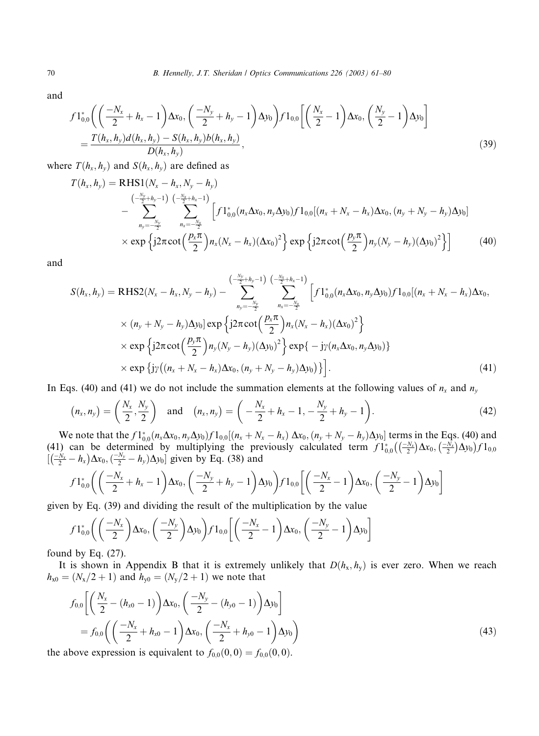and

$$
f1_{0,0}^{*}\left(\left(\frac{-N_{x}}{2}+h_{x}-1\right)\Delta x_{0},\left(\frac{-N_{y}}{2}+h_{y}-1\right)\Delta y_{0}\right)f1_{0,0}\left[\left(\frac{N_{x}}{2}-1\right)\Delta x_{0},\left(\frac{N_{y}}{2}-1\right)\Delta y_{0}\right]
$$

$$
=\frac{T(h_{x},h_{y})d(h_{x},h_{y})-S(h_{x},h_{y})b(h_{x},h_{y})}{D(h_{x},h_{y})},\tag{39}
$$

where  $T(h_x, h_y)$  and  $S(h_x, h_y)$  are defined as

$$
T(h_x, h_y) = \text{RHS1}(N_x - h_x, N_y - h_y)
$$
  
\n
$$
- \sum_{\substack{n_y = -\frac{N_y}{2} \\ n_y = -\frac{1}{2}}}^{(-\frac{N_y}{2} + h_y - 1)} \sum_{\substack{n_x = -\frac{N_x}{2} \\ n_x = -\frac{N_x}{2}}}^{(-\frac{N_x}{2} + h_x - 1)} \left[ f1_{0,0}^*(n_x \Delta x_0, n_y \Delta y_0) f1_{0,0}[(n_x + N_x - h_x) \Delta x_0, (n_y + N_y - h_y) \Delta y_0] \right]
$$
  
\n
$$
\times \exp \left\{ j2\pi \cot \left( \frac{p_x \pi}{2} \right) n_x (N_x - h_x) (\Delta x_0)^2 \right\} \exp \left\{ j2\pi \cot \left( \frac{p_y \pi}{2} \right) n_y (N_y - h_y) (\Delta y_0)^2 \right\} \right]
$$
(40)

and

$$
S(h_x, h_y) = \text{RHS2}(N_x - h_x, N_y - h_y) - \sum_{n_y = -\frac{N_y}{2}}^{(-\frac{N_y}{2} + h_y - 1)} \sum_{n_x = -\frac{N_x}{2}}^{(-\frac{N_x}{2} + h_x - 1)} \left[ f1_{0,0}^*(n_x \Delta x_0, n_y \Delta y_0) f1_{0,0}[(n_x + N_x - h_x) \Delta x_0, (n_y + N_y - h_y) \Delta y_0] \exp \left\{ j2\pi \cot \left( \frac{p_x \pi}{2} \right) n_x (N_x - h_x) (\Delta x_0)^2 \right\} \times \exp \left\{ j2\pi \cot \left( \frac{p_y \pi}{2} \right) n_y (N_y - h_y) (\Delta y_0)^2 \right\} \exp \left\{ - j\gamma (n_x \Delta x_0, n_y \Delta y_0) \right\} \times \exp \left\{ j\gamma \left( (n_x + N_x - h_x) \Delta x_0, (n_y + N_y - h_y) \Delta y_0 \right) \right\} \right].
$$
\n(41)

In Eqs. (40) and (41) we do not include the summation elements at the following values of  $n_x$  and  $n_y$ 

$$
(n_x, n_y) = \left(\frac{N_x}{2}, \frac{N_y}{2}\right) \text{ and } (n_x, n_y) = \left(-\frac{N_x}{2} + h_x - 1, -\frac{N_y}{2} + h_y - 1\right).
$$
 (42)

We note that the  $f1_{0,0}^*(n_x\Delta x_0, n_y\Delta y_0)f1_{0,0}[(n_x+N_x-h_x)\Delta x_0, (n_y+N_y-h_y)\Delta y_0]$  terms in the Eqs. (40) and (41) can be determined by multiplying the previously calculated term  $f1_{0,0}^*$  ( $\left(\frac{-N_x}{2}\right)$  $\left(\frac{-N_x}{2}\right)\Delta x_0, \left(\frac{-N_x}{2}\right)$  $\left(\left(\frac{-N_x}{2}\right)\Delta x_0,\left(\frac{-N_x}{2}\right)\Delta y_0\right)f1_{0,0}$  $[(\frac{-N_y}{2} - h_x)\Delta x_0, (\frac{-N_y}{2} - h_y)\Delta y_0]$  given by Eq. (38) and

$$
f1_{0,0}^{*}\bigg(\bigg(\frac{-N_{x}}{2}+h_{x}-1\bigg)\Delta x_{0},\bigg(\frac{-N_{y}}{2}+h_{y}-1\bigg)\Delta y_{0}\bigg)f1_{0,0}\bigg[\bigg(\frac{-N_{x}}{2}-1\bigg)\Delta x_{0},\bigg(\frac{-N_{y}}{2}-1\bigg)\Delta y_{0}\bigg]
$$

given by Eq. (39) and dividing the result of the multiplication by the value

$$
f1_{0,0}^{*}\left(\left(\frac{-N_{x}}{2}\right)\Delta x_{0},\left(\frac{-N_{y}}{2}\right)\Delta y_{0}\right)f1_{0,0}\left[\left(\frac{-N_{x}}{2}-1\right)\Delta x_{0},\left(\frac{-N_{y}}{2}-1\right)\Delta y_{0}\right]
$$

found by Eq.  $(27)$ .

It is shown in Appendix B that it is extremely unlikely that  $D(h_x, h_y)$  is ever zero. When we reach  $h_{x0}=(N_x/2+1)$  and  $h_{y0}=(N_y/2+1)$  we note that

$$
f_{0,0}\left[\left(\frac{N_x}{2} - (h_{x0} - 1)\right)\Delta x_0, \left(\frac{-N_y}{2} - (h_{y0} - 1)\right)\Delta y_0\right]
$$
  
=  $f_{0,0}\left(\left(\frac{-N_x}{2} + h_{x0} - 1\right)\Delta x_0, \left(\frac{-N_x}{2} + h_{y0} - 1\right)\Delta y_0\right)$  (43)

the above expression is equivalent to  $f_{0,0}(0,0) = f_{0,0}(0,0)$ .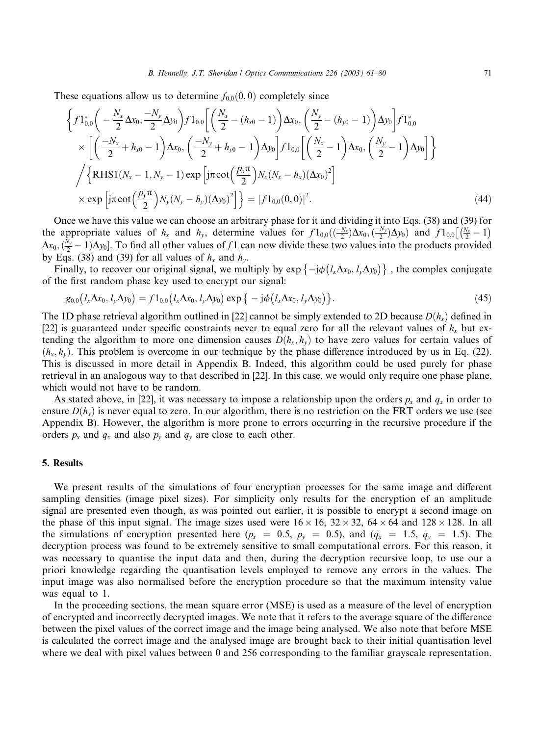These equations allow us to determine  $f_{0,0}(0,0)$  completely since

$$
\left\{ f1_{0,0}^{*} \left( -\frac{N_{x}}{2} \Delta x_{0}, \frac{-N_{y}}{2} \Delta y_{0} \right) f1_{0,0} \left[ \left( \frac{N_{x}}{2} - (h_{x0} - 1) \right) \Delta x_{0}, \left( \frac{N_{y}}{2} - (h_{y0} - 1) \right) \Delta y_{0} \right] f1_{0,0}^{*} \times \left[ \left( \frac{-N_{x}}{2} + h_{x0} - 1 \right) \Delta x_{0}, \left( \frac{-N_{y}}{2} + h_{y0} - 1 \right) \Delta y_{0} \right] f1_{0,0} \left[ \left( \frac{N_{x}}{2} - 1 \right) \Delta x_{0}, \left( \frac{N_{y}}{2} - 1 \right) \Delta y_{0} \right] \right\} \times \left\{ \left\{ RHS1(N_{x} - 1, N_{y} - 1) \exp \left[ j\pi \cot \left( \frac{p_{x}\pi}{2} \right) N_{x} (N_{x} - h_{x}) (\Delta x_{0})^{2} \right] \right\} \times \exp \left[ j\pi \cot \left( \frac{p_{y}\pi}{2} \right) N_{y} (N_{y} - h_{y}) (\Delta y_{0})^{2} \right] \right\} = |f1_{0,0}(0,0)|^{2}.
$$
\n(44)

Once we have this value we can choose an arbitrary phase for it and dividing it into Eqs. (38) and (39) for the appropriate values of  $h_x$  and  $h_y$ , determine values for  $f1_{0,0}\left(\frac{-N_y}{2}\right)\Delta x_0$ ,  $\left(\frac{-N_y}{2}\right)\Delta y_0$  and  $f1_{0,0}\left(\frac{N_x}{2}-1\right)$  $\Delta x_0$ ,  $\left(\frac{N_y}{2} - 1\right) \Delta y_0$ . To find all other values of f 1 can now divide these two values into the products provided by Eqs. (38) and (39) for all values of  $h_x$  and  $h_y$ .

Finally, to recover our original signal, we multiply by  $\exp\{-j\phi(l_x\Delta x_0, l_y\Delta y_0)\}\,$ , the complex conjugate of the first random phase key used to encrypt our signal:

$$
g_{0,0}(l_x\Delta x_0, l_y\Delta y_0) = f1_{0,0}(l_x\Delta x_0, l_y\Delta y_0) \exp\{-j\phi(l_x\Delta x_0, l_y\Delta y_0)\}.
$$
 (45)

The 1D phase retrieval algorithm outlined in [22] cannot be simply extended to 2D because  $D(h<sub>x</sub>)$  defined in [22] is guaranteed under specific constraints never to equal zero for all the relevant values of  $h<sub>x</sub>$  but extending the algorithm to more one dimension causes  $D(h_x, h_y)$  to have zero values for certain values of  $(h_x, h_y)$ . This problem is overcome in our technique by the phase difference introduced by us in Eq. (22). This is discussed in more detail in Appendix B. Indeed, this algorithm could be used purely for phase retrieval in an analogous way to that described in [22]. In this case, we would only require one phase plane, which would not have to be random.

As stated above, in [22], it was necessary to impose a relationship upon the orders  $p_x$  and  $q_x$  in order to ensure  $D(h<sub>x</sub>)$  is never equal to zero. In our algorithm, there is no restriction on the FRT orders we use (see Appendix B). However, the algorithm is more prone to errors occurring in the recursive procedure if the orders  $p_x$  and  $q_x$  and also  $p_y$  and  $q_y$  are close to each other.

#### 5. Results

We present results of the simulations of four encryption processes for the same image and different sampling densities (image pixel sizes). For simplicity only results for the encryption of an amplitude signal are presented even though, as was pointed out earlier, it is possible to encrypt a second image on the phase of this input signal. The image sizes used were  $16 \times 16$ ,  $32 \times 32$ ,  $64 \times 64$  and  $128 \times 128$ . In all the simulations of encryption presented here ( $p_x = 0.5$ ,  $p_y = 0.5$ ), and ( $q_x = 1.5$ ,  $q_y = 1.5$ ). The decryption process was found to be extremely sensitive to small computational errors. For this reason, it was necessary to quantise the input data and then, during the decryption recursive loop, to use our a priori knowledge regarding the quantisation levels employed to remove any errors in the values. The input image was also normalised before the encryption procedure so that the maximum intensity value was equal to 1.

In the proceeding sections, the mean square error (MSE) is used as a measure of the level of encryption of encrypted and incorrectly decrypted images. We note that it refers to the average square of the difference between the pixel values of the correct image and the image being analysed. We also note that before MSE is calculated the correct image and the analysed image are brought back to their initial quantisation level where we deal with pixel values between 0 and 256 corresponding to the familiar grayscale representation.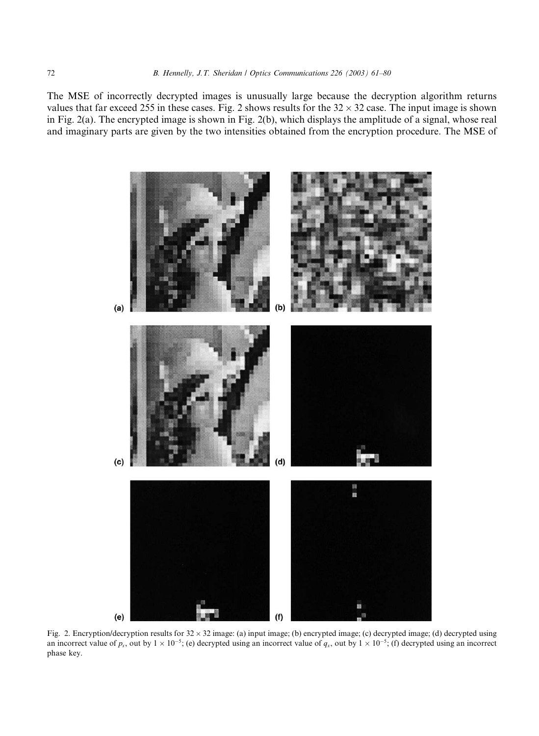The MSE of incorrectly decrypted images is unusually large because the decryption algorithm returns values that far exceed 255 in these cases. Fig. 2 shows results for the  $32 \times 32$  case. The input image is shown in Fig. 2(a). The encrypted image is shown in Fig. 2(b), which displays the amplitude of a signal, whose real and imaginary parts are given by the two intensities obtained from the encryption procedure. The MSE of



Fig. 2. Encryption/decryption results for  $32 \times 32$  image: (a) input image; (b) encrypted image; (c) decrypted image; (d) decrypted using an incorrect value of  $p_x$ , out by  $1 \times 10^{-5}$ ; (e) decrypted using an incorrect value of  $q_x$ , out by  $1 \times 10^{-5}$ ; (f) decrypted using an incorrect phase key.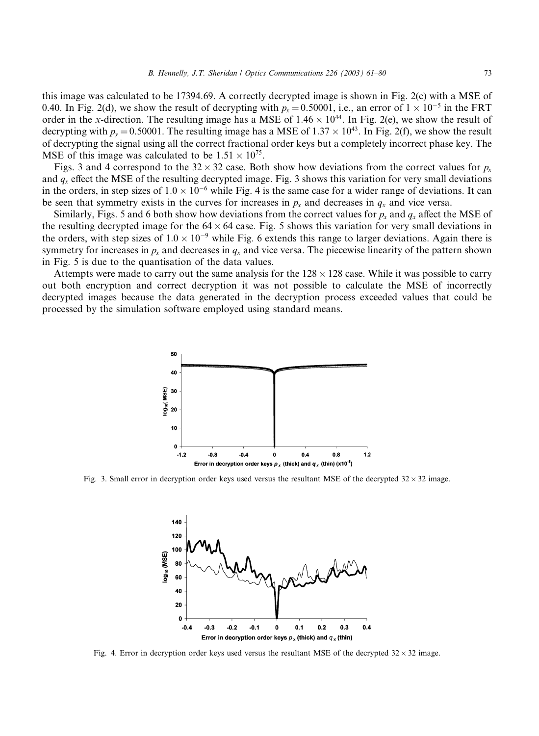this image was calculated to be 17394.69. A correctly decrypted image is shown in Fig. 2(c) with a MSE of 0.40. In Fig. 2(d), we show the result of decrypting with  $p_x = 0.50001$ , i.e., an error of  $1 \times 10^{-5}$  in the FRT order in the x-direction. The resulting image has a MSE of  $1.46 \times 10^{44}$ . In Fig. 2(e), we show the result of decrypting with  $p_y = 0.50001$ . The resulting image has a MSE of  $1.37 \times 10^{43}$ . In Fig. 2(f), we show the result of decrypting the signal using all the correct fractional order keys but a completely incorrect phase key. The MSE of this image was calculated to be  $1.51 \times 10^{75}$ .

Figs. 3 and 4 correspond to the  $32 \times 32$  case. Both show how deviations from the correct values for  $p_x$ and  $q_x$  effect the MSE of the resulting decrypted image. Fig. 3 shows this variation for very small deviations in the orders, in step sizes of  $1.0 \times 10^{-6}$  while Fig. 4 is the same case for a wider range of deviations. It can be seen that symmetry exists in the curves for increases in  $p_x$  and decreases in  $q_x$  and vice versa.

Similarly, Figs. 5 and 6 both show how deviations from the correct values for  $p_x$  and  $q_x$  affect the MSE of the resulting decrypted image for the  $64 \times 64$  case. Fig. 5 shows this variation for very small deviations in the orders, with step sizes of  $1.0 \times 10^{-9}$  while Fig. 6 extends this range to larger deviations. Again there is symmetry for increases in  $p_x$  and decreases in  $q_x$  and vice versa. The piecewise linearity of the pattern shown in Fig. 5 is due to the quantisation of the data values.

Attempts were made to carry out the same analysis for the  $128 \times 128$  case. While it was possible to carry out both encryption and correct decryption it was not possible to calculate the MSE of incorrectly decrypted images because the data generated in the decryption process exceeded values that could be processed by the simulation software employed using standard means.



Fig. 3. Small error in decryption order keys used versus the resultant MSE of the decrypted  $32 \times 32$  image.



Fig. 4. Error in decryption order keys used versus the resultant MSE of the decrypted  $32 \times 32$  image.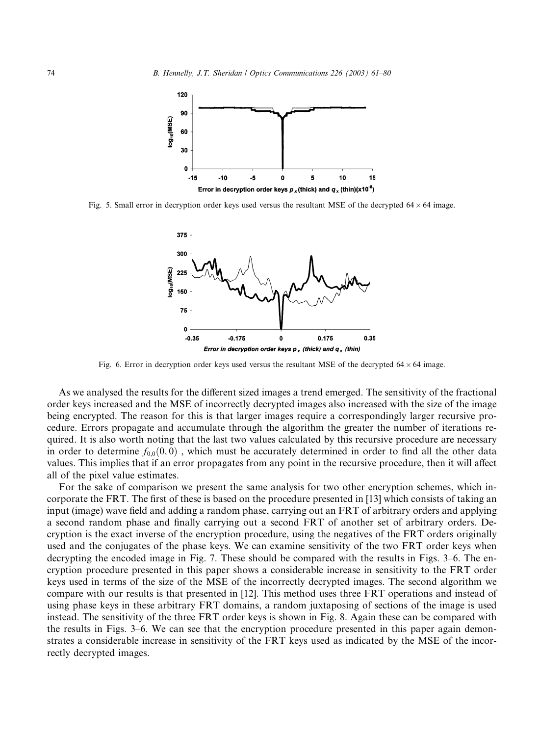

Fig. 5. Small error in decryption order keys used versus the resultant MSE of the decrypted  $64 \times 64$  image.



Fig. 6. Error in decryption order keys used versus the resultant MSE of the decrypted  $64 \times 64$  image.

As we analysed the results for the different sized images a trend emerged. The sensitivity of the fractional order keys increased and the MSE of incorrectly decrypted images also increased with the size of the image being encrypted. The reason for this is that larger images require a correspondingly larger recursive procedure. Errors propagate and accumulate through the algorithm the greater the number of iterations required. It is also worth noting that the last two values calculated by this recursive procedure are necessary in order to determine  $f_{0,0}(0,0)$ , which must be accurately determined in order to find all the other data values. This implies that if an error propagates from any point in the recursive procedure, then it will affect all of the pixel value estimates.

For the sake of comparison we present the same analysis for two other encryption schemes, which incorporate the FRT. The first of these is based on the procedure presented in [13] which consists of taking an input (image) wave field and adding a random phase, carrying out an FRT of arbitrary orders and applying a second random phase and finally carrying out a second FRT of another set of arbitrary orders. Decryption is the exact inverse of the encryption procedure, using the negatives of the FRT orders originally used and the conjugates of the phase keys. We can examine sensitivity of the two FRT order keys when decrypting the encoded image in Fig. 7. These should be compared with the results in Figs. 3–6. The encryption procedure presented in this paper shows a considerable increase in sensitivity to the FRT order keys used in terms of the size of the MSE of the incorrectly decrypted images. The second algorithm we compare with our results is that presented in [12]. This method uses three FRT operations and instead of using phase keys in these arbitrary FRT domains, a random juxtaposing of sections of the image is used instead. The sensitivity of the three FRT order keys is shown in Fig. 8. Again these can be compared with the results in Figs. 3–6. We can see that the encryption procedure presented in this paper again demonstrates a considerable increase in sensitivity of the FRT keys used as indicated by the MSE of the incorrectly decrypted images.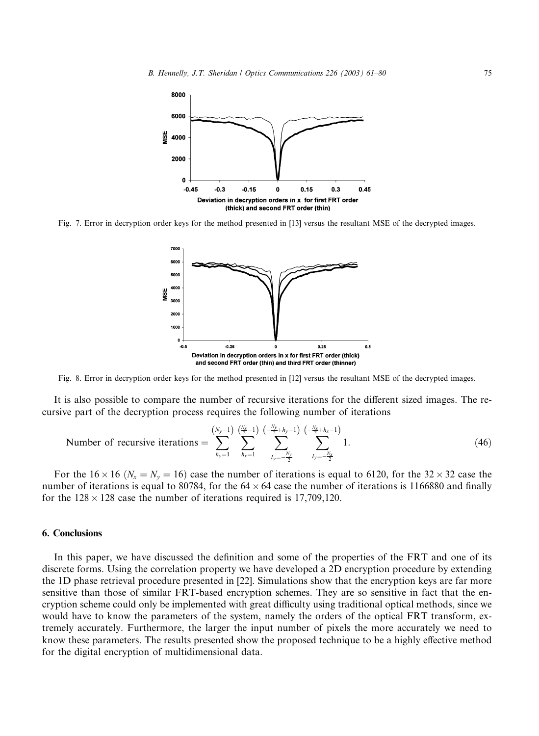

Fig. 7. Error in decryption order keys for the method presented in [13] versus the resultant MSE of the decrypted images.



Fig. 8. Error in decryption order keys for the method presented in [12] versus the resultant MSE of the decrypted images.

It is also possible to compare the number of recursive iterations for the different sized images. The recursive part of the decryption process requires the following number of iterations

Number of recursive iterations = 
$$
\sum_{h_y=1}^{(N_y-1)} \sum_{h_x=1}^{(\frac{N_y}{2}-1)} \sum_{h_x=1}^{(-\frac{N_y}{2}+h_y-1)} \sum_{l_y=-\frac{N_y}{2}}^{(-\frac{N_x}{2}+h_x-1)} 1.
$$
 (46)

For the  $16 \times 16$  ( $N_x = N_y = 16$ ) case the number of iterations is equal to 6120, for the  $32 \times 32$  case the number of iterations is equal to 80784, for the  $64 \times 64$  case the number of iterations is 1166880 and finally for the  $128 \times 128$  case the number of iterations required is 17,709,120.

## 6. Conclusions

In this paper, we have discussed the definition and some of the properties of the FRT and one of its discrete forms. Using the correlation property we have developed a 2D encryption procedure by extending the 1D phase retrieval procedure presented in [22]. Simulations show that the encryption keys are far more sensitive than those of similar FRT-based encryption schemes. They are so sensitive in fact that the encryption scheme could only be implemented with great difficulty using traditional optical methods, since we would have to know the parameters of the system, namely the orders of the optical FRT transform, extremely accurately. Furthermore, the larger the input number of pixels the more accurately we need to know these parameters. The results presented show the proposed technique to be a highly effective method for the digital encryption of multidimensional data.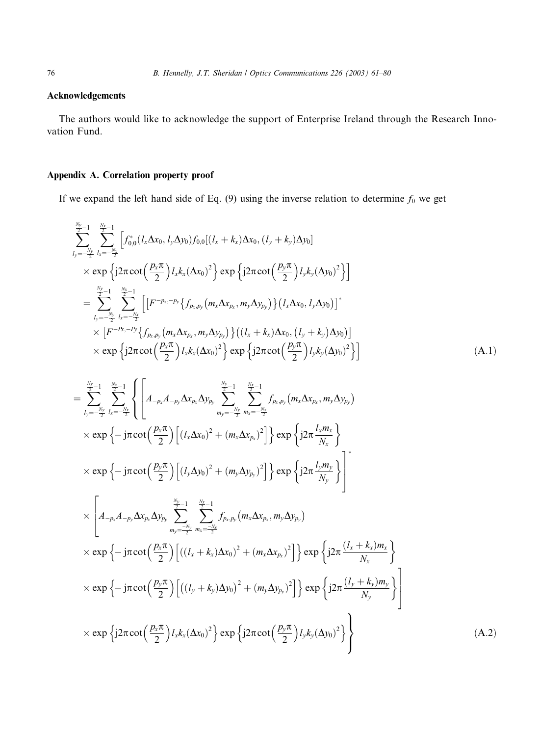## Acknowledgements

The authors would like to acknowledge the support of Enterprise Ireland through the Research Innovation Fund.

## Appendix A. Correlation property proof

If we expand the left hand side of Eq. (9) using the inverse relation to determine  $f_0$  we get

$$
\sum_{l_{y}=-\frac{N_{y}}{2}}^{\frac{N_{y}}{2}} \sum_{l_{x}=-\frac{N_{x}}{2}}^{\frac{N_{y}}{2}} \left[ f_{0,0}^{*}(l_{x}\Delta x_{0}, l_{y}\Delta y_{0})f_{0,0}[(l_{x}+k_{x})\Delta x_{0}, (l_{y}+k_{y})\Delta y_{0}] \right]
$$
\n
$$
\times \exp \left\{ j2\pi \cot \left(\frac{p_{x}\pi}{2}\right) l_{x}k_{x}(\Delta x_{0})^{2} \right\} \exp \left\{ j2\pi \cot \left(\frac{p_{y}\pi}{2}\right) l_{y}k_{y}(\Delta y_{0})^{2} \right\} \right]
$$
\n
$$
= \sum_{l_{y}=-\frac{N_{y}}{2}}^{\frac{N_{y}}{2}-1} \sum_{l_{x}=-\frac{N_{x}}{2}}^{\frac{N_{x}}{2}-1} \left[ \left[ F^{-p_{x}-p_{y}} \left\{ f_{p_{x},p_{y}}(m_{x}\Delta x_{p_{x}}, m_{y}\Delta y_{p_{y}}) \right\} (l_{x}\Delta x_{0}, l_{y}\Delta y_{0}) \right]^{*} \right.
$$
\n
$$
\times \left[ F^{-P_{x},-P_{y}} \left\{ f_{p_{x},p_{y}}(m_{x}\Delta x_{p_{x}}, m_{y}\Delta y_{p_{y}}) \right\} ((l_{x}+k_{x})\Delta x_{0}, (l_{y}+k_{y})\Delta y_{0}) \right]
$$
\n
$$
\times \exp \left\{ j2\pi \cot \left(\frac{p_{x}\pi}{2}\right) l_{x}k_{x}(\Delta x_{0})^{2} \right\} \exp \left\{ j2\pi \cot \left(\frac{p_{y}\pi}{2}\right) l_{y}k_{y}(\Delta y_{0})^{2} \right\} \right]
$$
\n(A.1)

$$
= \sum_{l_{y}=-\frac{N_{y}}{2}}^{\frac{N_{y}}{2}-1} \sum_{l_{z}=-\frac{N_{y}}{2}}^{\frac{N_{y}}{2}-1} \left\{ \left[ A_{-p_{x}} A_{-p_{y}} \Delta x_{p_{x}} \Delta y_{p_{y}} \sum_{m_{y}=-\frac{N_{y}}{2}}^{\frac{N_{y}}{2}-1} \sum_{m_{z}=-\frac{N_{y}}{2}}^{\frac{N_{x}}{2}-1} f_{p_{x},p_{y}}(m_{x} \Delta x_{p_{x}}, m_{y} \Delta y_{p_{y}}) \right\} \times \exp \left\{ -j\pi \cot \left( \frac{p_{x}\pi}{2} \right) \left[ (l_{x} \Delta x_{0})^{2} + (m_{x} \Delta x_{p_{x}})^{2} \right] \right\} \exp \left\{ j2\pi \frac{l_{x}m_{x}}{N_{x}} \right\} \times \exp \left\{ -j\pi \cot \left( \frac{p_{y}\pi}{2} \right) \left[ (l_{y} \Delta y_{0})^{2} + (m_{y} \Delta y_{p_{y}})^{2} \right] \right\} \exp \left\{ j2\pi \frac{l_{y}m_{y}}{N_{y}} \right\} \right\}^{*} \times \left[ A_{-p_{x}} A_{-p_{y}} \Delta x_{p_{x}} \Delta y_{p_{y}} \sum_{m_{y}=-\frac{N_{y}}{2}}^{\frac{N_{y}}{2}-1} \sum_{m_{z}=-\frac{N_{z}}{2}}^{\frac{N_{z}}{2}-1} f_{p_{x},p_{y}}(m_{x} \Delta x_{p_{x}}, m_{y} \Delta y_{p_{y}}) \times \exp \left\{ -j\pi \cot \left( \frac{p_{x}\pi}{2} \right) \left[ ((l_{x}+k_{x}) \Delta x_{0})^{2} + (m_{x} \Delta x_{p_{x}})^{2} \right] \right\} \exp \left\{ j2\pi \frac{(l_{x}+k_{x})m_{x}}{N_{x}} \right\} \times \exp \left\{ -j\pi \cot \left( \frac{p_{y}\pi}{2} \right) \left[ ((l_{y}+k_{y}) \Delta y_{0})^{2} + (m_{y} \Delta y_{p_{y}})^{2} \right] \right\} \exp \left\{ j2\pi \frac{(l_{y}+k_{y})
$$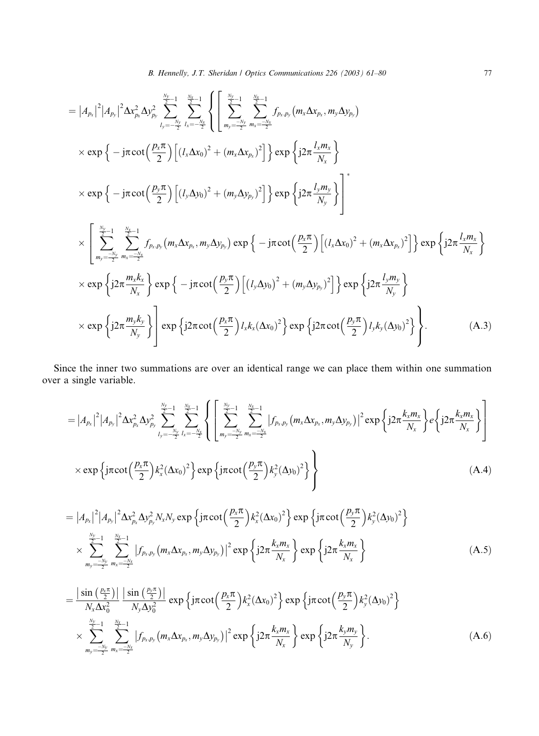$$
= |A_{p_x}|^2 |A_{p_y}|^2 \Delta x_{p_x}^2 \Delta y_{p_y}^2 \sum_{j_y=-\frac{N_y}{2}}^{\frac{N_y}{2}-1} \sum_{k_x=-\frac{N_x}{2}}^{\frac{N_x}{2}-1} \left\{ \left[ \sum_{m_y=-\frac{N_y}{2}}^{\frac{N_y}{2}-1} \sum_{m_x=-\frac{N_x}{2}}^{\frac{N_x}{2}} f_{p_x,p_y}(m_x \Delta x_{p_x}, m_y \Delta y_{p_y}) \right] \right\} \times \exp \left\{ -j\pi \cot \left( \frac{p_x \pi}{2} \right) \left[ (l_x \Delta x_0)^2 + (m_x \Delta x_{p_x})^2 \right] \right\} \exp \left\{ j2\pi \frac{l_x m_x}{N_x} \right\} \times \exp \left\{ -j\pi \cot \left( \frac{p_y \pi}{2} \right) \left[ (l_y \Delta y_0)^2 + (m_y \Delta y_{p_y})^2 \right] \right\} \exp \left\{ j2\pi \frac{l_y m_y}{N_y} \right\}^*
$$
  

$$
\times \left[ \sum_{m_y=-\frac{N_y}{2}}^{\frac{N_y}{2}-1} \sum_{m_x=-\frac{N_x}{2}}^{\frac{N_x}{2}-1} f_{p_x,p_y}(m_x \Delta x_{p_x}, m_y \Delta y_{p_y}) \exp \left\{ -j\pi \cot \left( \frac{p_x \pi}{2} \right) \left[ (l_x \Delta x_0)^2 + (m_x \Delta x_{p_x})^2 \right] \right\} \exp \left\{ j2\pi \frac{l_x m_x}{N_x} \right\} \times \exp \left\{ j2\pi \frac{m_x k_x}{N_x} \right\} \exp \left\{ -j\pi \cot \left( \frac{p_y \pi}{2} \right) \left[ (l_y \Delta y_0)^2 + (m_y \Delta y_{p_y})^2 \right] \right\} \exp \left\{ j2\pi \frac{l_y m_y}{N_y} \right\} \times \exp \left\{ j2\pi \frac{m_y k_y}{N_y} \right\} \exp \left\{ j2\pi \cot \left( \frac{p_x \pi}{2} \right) l_x k_x (\Delta x_0)^2 \right\} \exp \left\{ j2\pi \cot \left( \frac{p_y \pi}{2} \right) l_y k_y (\Delta y_0)^2 \right\}.
$$
 (A.3)

Since the inner two summations are over an identical range we can place them within one summation over a single variable.

$$
= |A_{p_x}|^2 |A_{p_y}|^2 \Delta x_{p_x}^2 \Delta y_{p_y}^2 \sum_{l_y=-\frac{N_y}{2}l_x=-\frac{N_x}{2}}^{\frac{N_x}{2}-1} \sum_{l_x=-\frac{N_y}{2}}^{\frac{N_x}{2}-1} \left\{ \left[ \sum_{m_y=-\frac{N_y}{2}}^{\frac{N_y}{2}-1} \sum_{m_x=-\frac{N_x}{2}}^{\frac{N_x}{2}-1} |f_{p_x,p_y}(m_x \Delta x_{p_x}, m_y \Delta y_{p_y})|^2 \exp\left\{ j2\pi \frac{k_x m_x}{N_x} \right\} e \left\{ j2\pi \frac{k_x m_x}{N_x} \right\} \right\}
$$
  
×  $\exp \left\{ j\pi \cot \left( \frac{p_x \pi}{2} \right) k_x^2 (\Delta x_0)^2 \right\} \exp \left\{ j\pi \cot \left( \frac{p_y \pi}{2} \right) k_y^2 (\Delta y_0)^2 \right\}$  (A.4)

$$
= |A_{p_x}|^2 |A_{p_y}|^2 \Delta x_{p_x}^2 \Delta y_{p_y}^2 N_x N_y \exp \left\{ j \pi \cot \left( \frac{p_x \pi}{2} \right) k_x^2 (\Delta x_0)^2 \right\} \exp \left\{ j \pi \cot \left( \frac{p_y \pi}{2} \right) k_y^2 (\Delta y_0)^2 \right\}
$$
  
 
$$
\times \sum_{m_y = -\frac{N_y}{2}}^{\frac{N_y}{2}-1} \sum_{m_x = -\frac{N_x}{2}}^{\frac{N_x}{2}-1} |f_{p_x, p_y}(m_x \Delta x_{p_x}, m_y \Delta y_{p_y})|^2 \exp \left\{ j2 \pi \frac{k_x m_x}{N_x} \right\} \exp \left\{ j2 \pi \frac{k_x m_x}{N_x} \right\}
$$
(A.5)

$$
= \frac{\left|\sin\left(\frac{p_x\pi}{2}\right)\right|}{N_x\Delta x_0^2} \frac{\left|\sin\left(\frac{p_y\pi}{2}\right)\right|}{N_y\Delta y_0^2} \exp\left\{\mathrm{j}\pi \cot\left(\frac{p_x\pi}{2}\right)k_x^2(\Delta x_0)^2\right\} \exp\left\{\mathrm{j}\pi \cot\left(\frac{p_y\pi}{2}\right)k_y^2(\Delta y_0)^2\right\}
$$
  
 
$$
\times \sum_{m_y=\frac{-N_y}{2}}^{N_y-1} \sum_{m_x=-\frac{N_x}{2}}^{\frac{N_x}{2}-1} \left|f_{p_x,p_y}\left(m_x\Delta x_{p_x}, m_y\Delta y_{p_y}\right)\right|^2 \exp\left\{\mathrm{j}2\pi \frac{k_xm_x}{N_x}\right\} \exp\left\{\mathrm{j}2\pi \frac{k_ym_y}{N_y}\right\}. \tag{A.6}
$$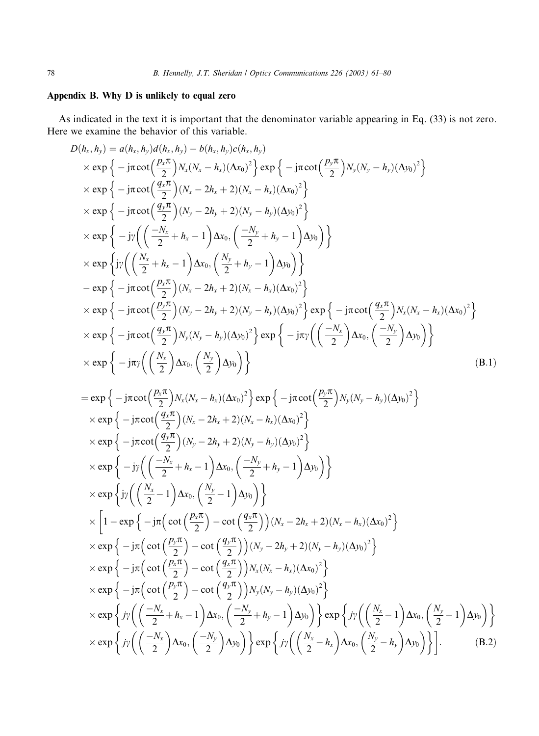## Appendix B. Why D is unlikely to equal zero

As indicated in the text it is important that the denominator variable appearing in Eq. (33) is not zero. Here we examine the behavior of this variable.

$$
D(h_x, h_y) = a(h_x, h_y)d(h_x, h_y) - b(h_x, h_y)c(h_x, h_y)
$$
  
\n
$$
\times \exp\left\{-j\pi \cot\left(\frac{p_x\pi}{2}\right)N_x(N_x - h_x)(\Delta x_0)^2\right\} \exp\left\{-j\pi \cot\left(\frac{p_y\pi}{2}\right)N_y(N_y - h_y)(\Delta y_0)^2\right\}
$$
  
\n
$$
\times \exp\left\{-j\pi \cot\left(\frac{q_x\pi}{2}\right)(N_x - 2h_x + 2)(N_x - h_x)(\Delta x_0)^2\right\}
$$
  
\n
$$
\times \exp\left\{-j\pi \cot\left(\frac{q_y\pi}{2}\right)(N_y - 2h_y + 2)(N_y - h_y)(\Delta y_0)^2\right\}
$$
  
\n
$$
\times \exp\left\{-j\pi \left(\left(\frac{-N_x}{2} + h_x - 1\right)\Delta x_0, \left(\frac{-N_y}{2} + h_y - 1\right)\Delta y_0\right)\right\}
$$
  
\n
$$
\times \exp\left\{j\pi \left(\left(\frac{N_x}{2} + h_x - 1\right)\Delta x_0, \left(\frac{N_y}{2} + h_y - 1\right)\Delta y_0\right)\right\}
$$
  
\n
$$
-\exp\left\{-j\pi \cot\left(\frac{p_x\pi}{2}\right)(N_x - 2h_x + 2)(N_x - h_x)(\Delta x_0)^2\right\}
$$
  
\n
$$
\times \exp\left\{-j\pi \cot\left(\frac{p_y\pi}{2}\right)(N_y - 2h_y + 2)(N_y - h_y)(\Delta y_0)^2\right\} \exp\left\{-j\pi \cot\left(\frac{q_x\pi}{2}\right)N_x(N_x - h_x)(\Delta x_0)^2\right\}
$$
  
\n
$$
\times \exp\left\{-j\pi \cot\left(\frac{q_y\pi}{2}\right)N_y(N_y - h_y)(\Delta y_0)^2\right\} \exp\left\{-j\pi \left(\left(\frac{-N_x}{2}\right)\Delta x_0, \left(\frac{-N_y}{2}\right)\Delta y_0\right)\right\}
$$
  
\n
$$
\times \exp\left\{-j\pi \left(\frac{N_x}{2}\right)\Delta x_0, \left(\frac{N_y}{2}\right)\Delta y_0\right)\right\}
$$
 (

$$
= \exp\left\{-j\pi \cot\left(\frac{p_x \pi}{2}\right) N_x (N_x - h_x) (\Delta x_0)^2\right\} \exp\left\{-j\pi \cot\left(\frac{p_y \pi}{2}\right) N_y (N_y - h_y) (\Delta y_0)^2\right\}
$$
  
\n
$$
\times \exp\left\{-j\pi \cot\left(\frac{q_x \pi}{2}\right) (N_x - 2h_x + 2) (N_x - h_x) (\Delta x_0)^2\right\}
$$
  
\n
$$
\times \exp\left\{-j\pi \cot\left(\frac{q_y \pi}{2}\right) (N_y - 2h_y + 2) (N_y - h_y) (\Delta y_0)^2\right\}
$$
  
\n
$$
\times \exp\left\{-j\gamma \left(\left(\frac{-N_x}{2} + h_x - 1\right) \Delta x_0, \left(\frac{-N_y}{2} + h_y - 1\right) \Delta y_0\right)\right\}
$$
  
\n
$$
\times \exp\left\{j\gamma \left(\left(\frac{N_x}{2} - 1\right) \Delta x_0, \left(\frac{N_y}{2} - 1\right) \Delta y_0\right)\right\}
$$
  
\n
$$
\times \left[1 - \exp\left\{-j\pi \left(\cot\left(\frac{p_x \pi}{2}\right) - \cot\left(\frac{q_x \pi}{2}\right)\right) (N_x - 2h_x + 2) (N_x - h_x) (\Delta x_0)^2\right\}
$$
  
\n
$$
\times \exp\left\{-j\pi \left(\cot\left(\frac{p_y \pi}{2}\right) - \cot\left(\frac{q_y \pi}{2}\right)\right) N_x (N_x - h_x) (\Delta x_0)^2\right\}
$$
  
\n
$$
\times \exp\left\{-j\pi \left(\cot\left(\frac{p_x \pi}{2}\right) - \cot\left(\frac{q_y \pi}{2}\right)\right) N_x (N_x - h_x) (\Delta x_0)^2\right\}
$$
  
\n
$$
\times \exp\left\{-j\pi \left(\cot\left(\frac{p_x \pi}{2}\right) - \cot\left(\frac{q_y \pi}{2}\right)\right) N_y (N_y - h_y) (\Delta y_0)^2\right\}
$$
  
\n
$$
\times \exp\left\{j\gamma \left(\left(\frac{-N_x}{2} + h_x - 1\right) \Delta x_0, \left(\frac{-N_y}{2
$$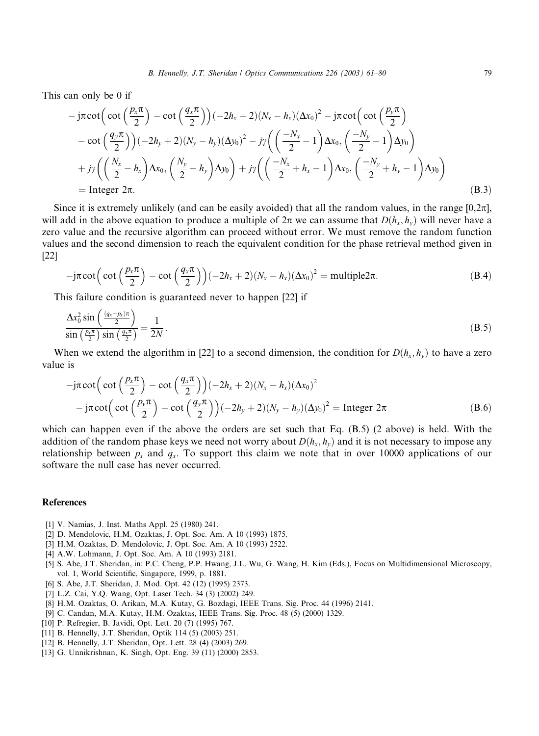This can only be 0 if

$$
-j\pi \cot\left(\cot\left(\frac{p_x\pi}{2}\right) - \cot\left(\frac{q_x\pi}{2}\right)\right)(-2h_x + 2)(N_x - h_x)(\Delta x_0)^2 - j\pi \cot\left(\cot\left(\frac{p_y\pi}{2}\right) - \cot\left(\frac{q_y\pi}{2}\right)\right)(-2h_y + 2)(N_y - h_y)(\Delta y_0)^2 - j\gamma\left(\left(\frac{-N_x}{2} - 1\right)\Delta x_0, \left(\frac{-N_y}{2} - 1\right)\Delta y_0\right) + j\gamma\left(\left(\frac{N_x}{2} - h_x\right)\Delta x_0, \left(\frac{N_y}{2} - h_y\right)\Delta y_0\right) + j\gamma\left(\left(\frac{-N_x}{2} + h_x - 1\right)\Delta x_0, \left(\frac{-N_y}{2} + h_y - 1\right)\Delta y_0\right) - \text{Integer } 2\pi.
$$
\n(B.3)

Since it is extremely unlikely (and can be easily avoided) that all the random values, in the range  $[0,2\pi]$ , will add in the above equation to produce a multiple of  $2\pi$  we can assume that  $D(h_x, h_y)$  will never have a zero value and the recursive algorithm can proceed without error. We must remove the random function values and the second dimension to reach the equivalent condition for the phase retrieval method given in [22]

$$
-j\pi \cot\left(\cot\left(\frac{p_x\pi}{2}\right)-\cot\left(\frac{q_x\pi}{2}\right)\right)(-2h_x+2)(N_x-h_x)(\Delta x_0)^2=\text{multiple2}\pi.
$$
 (B.4)

This failure condition is guaranteed never to happen [22] if

$$
\frac{\Delta x_0^2 \sin\left(\frac{(q_x - p_x)\pi}{2}\right)}{\sin\left(\frac{p_x \pi}{2}\right) \sin\left(\frac{q_x \pi}{2}\right)} = \frac{1}{2N}.
$$
\n(B.5)

When we extend the algorithm in [22] to a second dimension, the condition for  $D(h_x, h_y)$  to have a zero value is

$$
-j\pi \cot\left(\cot\left(\frac{p_x\pi}{2}\right)-\cot\left(\frac{q_x\pi}{2}\right)\right)(-2h_x+2)(N_x-h_x)(\Delta x_0)^2
$$
  
-
$$
-j\pi \cot\left(\cot\left(\frac{p_y\pi}{2}\right)-\cot\left(\frac{q_y\pi}{2}\right)\right)(-2h_y+2)(N_y-h_y)(\Delta y_0)^2=\text{Integer }2\pi
$$
 (B.6)

which can happen even if the above the orders are set such that Eq. (B.5) (2 above) is held. With the addition of the random phase keys we need not worry about  $D(h_x, h_y)$  and it is not necessary to impose any relationship between  $p_x$  and  $q_y$ . To support this claim we note that in over 10000 applications of our software the null case has never occurred.

#### References

- [1] V. Namias, J. Inst. Maths Appl. 25 (1980) 241.
- [2] D. Mendolovic, H.M. Ozaktas, J. Opt. Soc. Am. A 10 (1993) 1875.
- [3] H.M. Ozaktas, D. Mendolovic, J. Opt. Soc. Am. A 10 (1993) 2522.
- [4] A.W. Lohmann, J. Opt. Soc. Am. A 10 (1993) 2181.
- [5] S. Abe, J.T. Sheridan, in: P.C. Cheng, P.P. Hwang, J.L. Wu, G. Wang, H. Kim (Eds.), Focus on Multidimensional Microscopy, vol. 1, World Scientific, Singapore, 1999, p. 1881.
- [6] S. Abe, J.T. Sheridan, J. Mod. Opt. 42 (12) (1995) 2373.
- [7] L.Z. Cai, Y.Q. Wang, Opt. Laser Tech. 34 (3) (2002) 249.
- [8] H.M. Ozaktas, O. Arikan, M.A. Kutay, G. Bozdagi, IEEE Trans. Sig. Proc. 44 (1996) 2141.
- [9] C. Candan, M.A. Kutay, H.M. Ozaktas, IEEE Trans. Sig. Proc. 48 (5) (2000) 1329.
- [10] P. Refregier, B. Javidi, Opt. Lett. 20 (7) (1995) 767.
- [11] B. Hennelly, J.T. Sheridan, Optik 114 (5) (2003) 251.
- [12] B. Hennelly, J.T. Sheridan, Opt. Lett. 28 (4) (2003) 269.
- [13] G. Unnikrishnan, K. Singh, Opt. Eng. 39 (11) (2000) 2853.